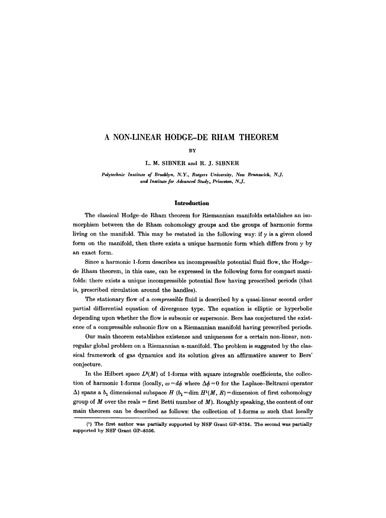# **A NON-LINEAR HODGE-DE RHAM THEOREM**

#### **BY**

L. M. SIBNER and R. J. SIBNER

*Polytechnic Institute of Brooklyn, N.Y., Burgers University, New Brunswick, N.J. and Institute for Advanced Study, Princeton, N.J.* 

#### **Introduction**

The classical Hodge-de Rham theorem for Riemannian manifolds establishes an isomorphism between the de Rham cohomology groups and the groups of harmonic forms living on the manifold. This may be restated in the following way: if  $\gamma$  is a given closed form on the manifold, then there exists a unique harmonic form which differs from  $\gamma$  by an exact form.

Since a harmonic 1-form describes an incompressible potential fluid flow, the Hodgede Rham theorem, in this case, can be expressed in the following form for compact manifolds: there exists a unique incompressible potential flow having prescribed periods (that is, prescribed circulation around the handles).

The stationary flow of a *compressible* fluid is described by a quasi-linear second order partial differential equation of divergence type. The equation is elliptic or hyperbolic depending upon whether the flow is subsonic or supersonic. Bers has conjectured the existence of a compressible subsonic flow on a Riemannian manifold having prescribed periods.

Our main theorem establishes existence and uniqueness for a certain non-linear, nonregular global problem on a Riemannian  $n$ -manifold. The problem is suggested by the classical framework of gas dynamics and its solution gives an affirmative answer to Bers' conjecture.

In the Hilbert space  $\dot{L}^2(M)$  of 1-forms with square integrable coefficients, the collection of harmonic 1-forms (locally,  $\omega = d\phi$  where  $\Delta \phi = 0$  for the Laplace-Beltrami operator  $\Delta$ ) spans a  $b_1$  dimensional subspace *H* ( $b_1 = \dim H^1(M, R) = \dim$ ension of first cohomology group of  $M$  over the reals = first Betti number of  $M$ ). Roughly speaking, the content of our main theorem can be described as follows: the collection of 1-forms  $\omega$  such that locally

<sup>(1)</sup> The first author was partially supported by NSF Grant GP-8754. The second was partially supported by NSF Grant GP-8556.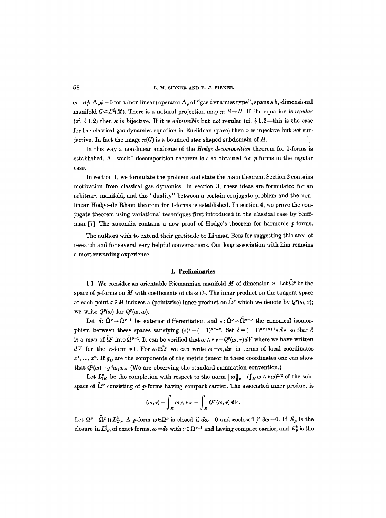$\omega = d\phi$ ,  $\Delta_{\rho}\phi = 0$  for a (non linear) operator  $\Delta_{\rho}$  of "gas dynamics type", spans a  $b_1$ -dimensional manifold  $G \subseteq L^2(M)$ . There is a natural projection map  $\pi: G \rightarrow H$ . If the equation is *regular* (cf.  $\S 1.2$ ) then  $\pi$  is bijective. If it is *admissible* but *not* regular (cf.  $\S 1.2$ —this is the case for the classical gas dynamics equation in Euclidean space) then  $\pi$  is injective but *not* surjective. In fact the image  $\pi(G)$  is a bounded star shaped subdomain of H.

In this way a non-linear analogue of the *Hodge decomposition* theorem for 1-forms is established. A "weak" decomposition theorem is also obtained for  $p$ -forms in the regular case.

In section 1, we formulate the problem and state the main theorem. Section 2 contains motivation from classical gas dynamics. In section 3, these ideas are formulated for an arbitrary manifold, and the "duality" between a certain conjugate problem and the nonlinear Hodge-de Rham theorem for 1-forms is established. In section 4, we prove the conjugate theorem using variational techniques first introduced in the classical ease by Shiftman [7]. The appendix contains a new proof of Hodge's theorem for harmonic  $p$ -forms.

The authors wish to extend their gratitude to Lipman Bers for suggesting this area of research and for several very helpful conversations. Our long association with him remains a most rewarding experience.

#### **I. Preliminaries**

1.1. We consider an orientable Riemannian manifold M of dimension n. Let  $\Omega^p$  be the space of  $p$ -forms on  $M$  with coefficients of class  $C<sup>1</sup>$ . The inner product on the tangent space at each point  $x \in M$  induces a (pointwise) inner product on  $\tilde{\Omega}^p$  which we denote by  $Q^p(\omega, v);$ we write  $Q^p(\omega)$  for  $Q^p(\omega, \omega)$ .

Let d:  $\tilde{\Omega}^p \rightarrow \tilde{\Omega}^{p+1}$  be exterior differentiation and  $* : \tilde{\Omega}^p \rightarrow \tilde{\Omega}^{n-p}$  the canonical isomorphism between these spaces satisfying  $(*)^2 = (-1)^{np+p}$ . Set  $\delta = (-1)^{np+n+1}*d*$  so that  $\delta$ is a map of  $\tilde{\Omega}^p$  into  $\tilde{\Omega}^{p-1}$ . It can be verified that  $\omega \wedge * \nu = Q^p(\omega, \nu) dV$  where we have written *dV* for the *n*-form \*1. For  $\omega \in \tilde{\Omega}^1$  we can write  $\omega = \omega_i dx^i$  in terms of local coordinates  $x^1, \ldots, x^n$ . If  $g_{ij}$  are the components of the metric tensor in these coordinates one can show that  $Q^1(\omega) = g^{ij}\omega_j \omega_j$ . (We are observing the standard summation convention.)

Let  $L^2_{(p)}$  be the completion with respect to the norm  $\|\omega\|_p = (\int_M \omega \wedge * \omega)^{1/2}$  of the subspace of  $\tilde{\Omega}^p$  consisting of p-forms having compact carrier. The associated inner product is

$$
(\omega,\nu)=\int_M \omega\wedge *\nu\,=\int_M Q^p(\omega,\nu)\,dV.
$$

Let  $\Omega^p = \tilde{\Omega}^p \cap L^2_{(p)}$ . A p-form  $\omega \in \Omega^p$  is closed if  $d\omega = 0$  and coclosed if  $\delta \omega = 0$ . If  $E_p$  is the closure in  $L^2_{(p)}$  of exact forms,  $\omega = d\gamma$  with  $\gamma \in \Omega^{p-1}$  and having compact carrier, and  $E^*_{p}$  is the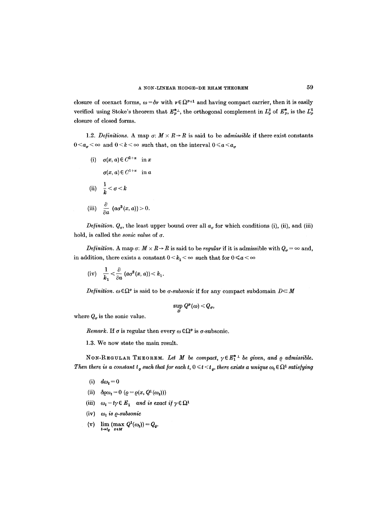closure of coexact forms,  $\omega = \delta v$  with  $v \in \Omega^{p+1}$  and having compact carrier, then it is easily verified using Stoke's theorem that  $E_p^{*+}$ , the orthogonal complement in  $L_p^2$  of  $E_p^*$ , is the  $L_p^2$ closure of closed forms.

1.2. *Definitions.* A map  $\sigma: M \times R \to R$  is said to be *admissible* if there exist constants  $0 \le a_{\sigma} \le \infty$  and  $0 \le k \le \infty$  such that, on the interval  $0 \le a \le a_{\sigma}$ 

(i)  $\sigma(x,a) \in C^{2+\alpha}$  in x  $\sigma(x,a) \in C^{1+\alpha}$  in a (ii)  $\frac{1}{k} < \sigma < k$ (iii)  $\frac{\partial}{\partial a}$   $(a\sigma^2(x,a))>0.$ 

*Definition.*  $Q_{\sigma}$ , the least upper bound over all  $a_{\sigma}$  for which conditions (i), (ii), and (iii) hold, is called the *sonic value* of  $\sigma$ .

*Definition.* A map  $\sigma: M \times R \to R$  is said to be *regular* if it is admissible with  $Q_{\sigma} = \infty$  and, in addition, there exists a constant  $0 \le k_1 \le \infty$  such that for  $0 \le a \le \infty$ 

(iv) 
$$
\frac{1}{k_1} < \frac{\partial}{\partial a} (a\sigma^2(x, a)) < k_1
$$
.

*Definition.*  $\omega \in \Omega^p$  is said to be *a-subsonic* if for any compact subdomain  $D \subset M$ 

$$
\sup_D Q^p(\omega) < Q_{\sigma},
$$

where  $Q_{\sigma}$  is the sonic value.

*Remark.* If  $\sigma$  is regular then every  $\omega \in \Omega^p$  is  $\sigma$ -subsonic.

1.3. We now state the main result.

NON-REGULAR THEOREM. Let M be compact,  $\gamma \in E_1^*$ <sup>+</sup> be given, and  $\varrho$  admissible. *Then there is a constant t<sub>o</sub> such that for each t,*  $0 \leq t \leq t_o$ , there exists a unique  $\omega_t \in \Omega^1$  satisfying

- (i)  $d\omega_t = 0$
- (ii)  $\delta \varrho \omega_t = 0$  ( $\varrho = \varrho(x, Q^1(\omega_t)))$
- (iii)  $\omega_t t\gamma \in E_1$  and is exact if  $\gamma \in \Omega^1$
- (iv)  $\omega_t$  *is*  $\rho$ *-subsonic*
- (v)  $\lim_{t\to t_0} (\max_{x\in M} Q^1(\omega_t)) = Q_0.$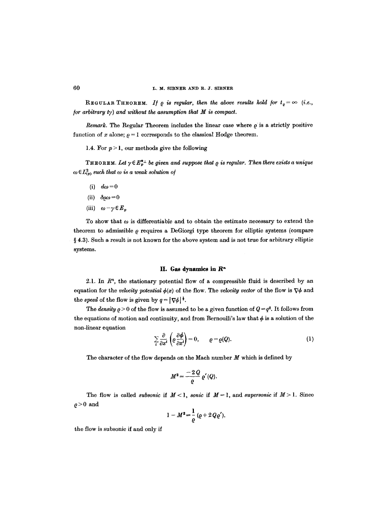REGULAR THEOREM. *If*  $\varrho$  *is regular, then the above results hold for*  $t_{\varrho} = \infty$  (*i.e., for arbitrary ty) and without the assumption that M is compact.* 

*Remark.* The Regular Theorem includes the linear case where  $\rho$  is a strictly positive function of x alone;  $\rho = 1$  corresponds to the classical Hodge theorem.

1.4. For  $p > 1$ , our methods give the following

THEOREM. Let  $\gamma \in E_p^{*+}$  be given and suppose that  $\varrho$  is regular. Then there exists a unique  $\omega \in L^2_{(p)}$  such that  $\omega$  is a weak solution of

- (i)  $d\omega=0$
- (ii)  $\delta \varrho \omega = 0$
- (iii)  $\omega \gamma \in E_p$

To show that  $\omega$  is differentiable and to obtain the estimate necessary to extend the theorem to admissible Q requires a DeGiorgi type theorem for elliptic systems (compare  $§$  4.3). Such a result is not known for the above system and is not true for arbitrary elliptic systems.

## II. Gas dynamics in  $\mathbb{R}^n$

2.1. In  $R<sup>n</sup>$ , the stationary potential flow of a compressible fluid is described by an equation for the *velocity potential*  $\phi(x)$  of the flow. The *velocity vector* of the flow is  $\nabla \phi$  and the speed of the flow is given by  $q = |\nabla \phi|^{\frac{1}{2}}$ .

The *density*  $\rho > 0$  of the flow is assumed to be a given function of  $Q = q^2$ . It follows from the equations of motion and continuity, and from Bernoulli's law that  $\phi$  is a solution of the non-linear equation

$$
\sum_{i} \frac{\partial}{\partial x^{i}} \left( \rho \frac{\partial \phi}{\partial x^{i}} \right) = 0, \qquad \rho = \rho(Q).
$$
 (1)

The character of the flow depends on the Mach number  $M$  which is defined by

$$
M^2=\frac{-2\,Q}{\varrho}\,\varrho'(Q).
$$

The flow is called *subsonic* if  $M < 1$ , *sonic* if  $M = 1$ , and *supersonic* if  $M > 1$ . Since  $\rho > 0$  and

$$
1-M^2=\frac{1}{\varrho}(\varrho+2\,Q\varrho'),
$$

the flow is subsonic if and only if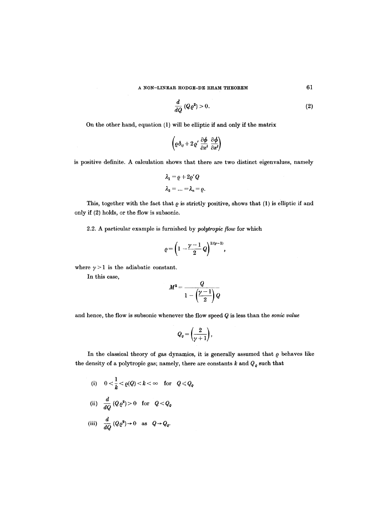$$
\frac{d}{dQ}\left(Q\varrho^2\right) > 0.\tag{2}
$$

On the other hand, equation (1) will be elliptic if and only if the matrix

$$
\left(\varrho\,\delta_{ij}+2\,\varrho'\,\frac{\partial\bm\phi}{\partial x^i}\,\frac{\partial\bm\phi}{\partial x^j}\right)
$$

is positive definite. A calculation shows that there are two distinct eigenvalues, namely

$$
\lambda_1 = \varrho + 2\varrho' Q
$$
  

$$
\lambda_2 = \dots = \lambda_n = \varrho.
$$

This, together with the fact that  $\rho$  is strictly positive, shows that (1) is elliptic if and only if (2) holds, or the flow is subsonic.

2.2. A particular example is furnished by *polytropic flow* for which

$$
\varrho=\left(1-\frac{\gamma-1}{2}Q\right)^{1/(\gamma-1)},
$$

where  $\gamma > 1$  is the adiabatic constant.

In this case,

$$
M^2=\frac{Q}{1-\left(\frac{\gamma-1}{2}\right)Q}
$$

and hence, the flow is subsonic whenever the flow speed Q is less than the *sonic value* 

$$
Q_q=\left(\!\frac{2}{\gamma+1}\!\right),
$$

In the classical theory of gas dynamics, it is generally assumed that  $\rho$  behaves like the density of a polytropic gas; namely, there are constants  $k$  and  $\boldsymbol{Q}_{\varrho}$  such that

(i) 
$$
0 < \frac{1}{k} < \varrho(Q) < k < \infty
$$
 for  $Q \leq Q_{\varrho}$   
\n(ii)  $\frac{d}{dQ}(Q \varrho^2) > 0$  for  $Q < Q_{\varrho}$ 

(iii) 
$$
\frac{d}{dQ}(Q\varrho^2) \to 0
$$
 as  $Q \to Q_{\varrho}$ .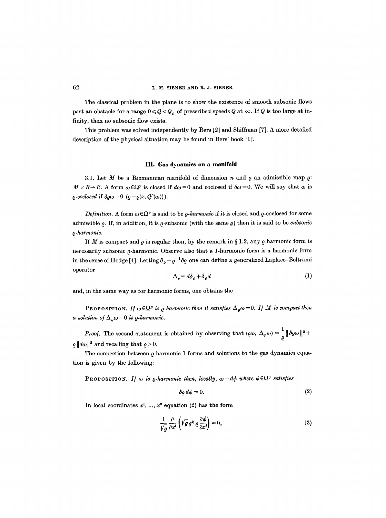The classical problem in the plane is to show the existence of smooth subsonic flows past an obstacle for a range  $0 \leq Q < Q_o$  of prescribed speeds Q at  $\infty$ . If Q is too large at infinity, then no subsonic flow exists.

This problem was solved independently by Bers [2] and Shiffman [7]. A more detailed description of the physical situation may be found in Bers' book [1].

#### **III. Gas dynamics on a** manifold

3.1. Let  $M$  be a Riemannian manifold of dimension  $n$  and  $\varrho$  an admissible map  $\varrho$ :  $M \times R \to R$ . A form  $\omega \in \Omega^p$  is closed if  $d\omega = 0$  and coclosed if  $\delta \omega = 0$ . We will say that  $\omega$  is  $\rho\text{-}coclosed \text{ if } \delta \rho \omega = 0 \ (\rho = \rho(x, Q^p(\omega)))$ .

*Definition.* A form  $\omega \in \Omega^p$  is said to be  $\varrho$ *-harmonic* if it is closed and  $\varrho$ -coclosed for some admissible  $\rho$ . If, in addition, it is  $\rho$ -subsonic (with the same  $\rho$ ) then it is said to be *subsonic O-harmonic.* 

If M is compact and  $\rho$  is regular then, by the remark in § 1.2, any  $\rho$ -harmonic form is necessarily subsonic  $\rho$ -harmonic. Observe also that a 1-harmonic form is a harmonic form in the sense of Hodge [4]. Letting  $\delta_{\rho} = \rho^{-1} \delta \rho$  one can define a generalized Laplace-Beltrami operator

$$
\Delta_o = d\delta_o + \delta_o d \tag{1}
$$

and, in the same way as for harmonic forms, one obtains the

PROPOSITION. If  $\omega \in \Omega^p$  is *Q*-harmonic then it satisfies  $\Delta_{\rho} \omega = 0$ . If M is compact then *a solution of*  $\Delta_{\varrho}\omega = 0$  *is*  $\varrho$ *-harmonic.* 

*Proof.* The second statement is obtained by observing that  $(\varrho \omega, \Delta_{\varrho} \omega) = \frac{1}{\varrho} \|\partial \varrho \omega\|^2 +$  $\rho || d\omega ||^2$  and recalling that  $\rho > 0$ .

The connection between  $\varrho$ -harmonic 1-forms and solutions to the gas dynamics equation is given by the following:

PROPOSITION. If  $\omega$  is  $\rho$ -harmonic then, locally,  $\omega = d\phi$  where  $\phi \in \Omega^0$  satisfies

$$
\delta \varrho \, d\phi = 0. \tag{2}
$$

In local coordinates  $x^1, ..., x^n$  equation (2) has the form

$$
\frac{1}{\sqrt{g}}\frac{\partial}{\partial x^{i}}\left(\sqrt{g}g^{ij}\varrho\frac{\partial\phi}{\partial x^{j}}\right)=0,
$$
\n(3)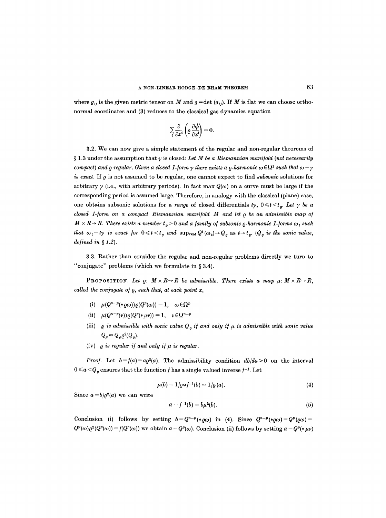where  $g_{ij}$  is the given metric tensor on M and  $g = \det (g_{ij})$ . If M is flat we can choose orthonormal coordinates and (3) reduces to the classical gas dynamics equation

$$
\sum_{i} \frac{\partial}{\partial x^{i}} \left( \varrho \, \frac{\partial \phi}{\partial x^{i}} \right) = 0.
$$

3.2. We can now give a simple statement of the regular and non-regular theorems of  $\S 1.3$  under the assumption that  $\gamma$  is closed: Let M be a Riemannian manifold (not necessarily *compact) and*  $\rho$  *regular. Given a closed 1-form*  $\gamma$  *there exists a*  $\rho$ *-harmonic*  $\omega \in \Omega^1$  *such that*  $\omega - \gamma$ *is exact.* If  $\rho$  is not assumed to be regular, one cannot expect to find *subsonic* solutions for arbitrary  $\gamma$  (i.e., with arbitrary periods). In fact max  $Q(\omega)$  on a curve must be large if the corresponding period is assumed large. Therefore, in analogy with the classical (plane) case, one obtains subsonic solutions for a *range* of closed differentials  $t\gamma$ ,  $0 \le t \le t_o$ . Let  $\gamma$  be a *closed 1-form on a compact Riemannian manifold M and let*  $\rho$  *be an admissible map of*  $M \times R \rightarrow R$ . There exists a number  $t_o > 0$  and a family of subsonic  $\varrho$ -harmonic 1-forms  $\omega_t$  such *that*  $\omega_t - t\gamma$  is exact for  $0 \leq t < t_o$  and  $\sup_{x \in M} Q^1(\omega_t) \to Q_o$  as  $t \to t_o$ . ( $Q_o$  is the sonic value, *defined in § 1.2).* 

3.3. Rather than consider the regular and non-regular problems directly we turn to "conjugate" problems (which we formulate in  $\S 3.4$ ).

PROPOSITION. Let  $\rho: M \times R \rightarrow R$  be admissible. There exists a map  $\mu: M \times R \rightarrow R$ , *called the conjugate o/~, such that, at each point x,* 

- (i)  $\mu(Q^{n-p}(*\rho\omega))\rho(Q^p(\omega)) = 1, \quad \omega \in \Omega^p$
- (ii)  $\mu(Q^{n-p}(v))\varrho(Q^p(*\mu v))=1, \quad v\in\Omega^{n-p}$
- (iii)  $\varrho$  is admissible with sonic value  $Q_o$  if and only if  $\mu$  is admissible with sonic value  $Q_{\mu} = Q_{\rho} \rho^2 (Q_{\rho}).$
- (iv)  $\rho$  *is regular if and only if*  $\mu$  *is regular.*

*Proof.* Let  $b = f(a) = a_0^2(a)$ . The admissibility condition  $db/da > 0$  on the interval  $0 \leq a \leq Q_{\varrho}$  ensures that the function f has a single valued inverse f<sup>-1</sup>. Let

$$
\mu(b) = 1/\rho \circ f^{-1}(b) = 1/\rho(a). \tag{4}
$$

Since  $a=b/\rho^2(a)$  we can write

$$
a = f^{-1}(b) = b\mu^2(b).
$$
 (5)

Conclusion (i) follows by setting  $b = Q^{n-p}(*\omega)$  in (4). Since  $Q^{n-p}(*\omega) = Q^p(\omega) =$  $Q^p(\omega) \varrho^2(Q^p(\omega)) = f(Q^p(\omega))$  we obtain  $a = Q^p(\omega)$ . Conclusion (ii) follows by setting  $a = Q^p(*) \mu \nu$ )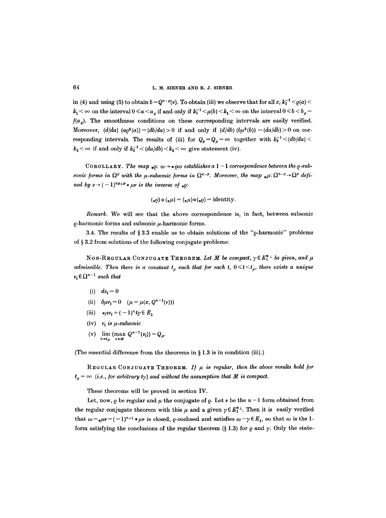in (4) and using (5) to obtain  $b = Q^{n-p}(v)$ . To obtain (iii) we observe that for all x,  $k_1^{-1} < o(a) <$  $k_1 < \infty$  on the interval  $0 \le a \le a_{\rho}$  if and only if  $k_1^{-1} \le \mu(b) \le k_1 < \infty$  on the interval  $0 \le b \le b_{\rho} =$  $f(a_q)$ . The smoothness conditions on these corresponding intervals are easily verified. Moreover,  $(d/da)$   $(a\rho^2(a)) = (db/da) > 0$  if and only if  $(d/db)$   $(b\mu^2(b)) = (da/db) > 0$  on corresponding intervals. The results of (iii) for  $Q_q = Q_\mu = \infty$  together with  $k_2^{-1} < (db/da) <$  $k_2 < \infty$  if and only if  $k_2^{-1} < (da/db) < k_2 < \infty$  give statement (iv).

COROLLARY. The map  $_{*0}: \omega \rightarrow * \omega \omega$  establishes a  $1-1$  correspondence between the  $\rho$ -sub*sonic forms in*  $\Omega^p$  with the *u*-subsonic forms in  $\Omega^{n-p}$ . Moreover, the map  $\mu \text{D}(\Omega^{n-p} \to \Omega^p)$  defi*ned by*  $\nu \rightarrow (-1)^{np+p} * \mu \nu$  *is the inverse of*  $\ast \rho$ :

$$
(\ast \varrho) \circ (\ast \mu) = (\ast \mu) \circ (\ast \varrho) = \text{identity}.
$$

*Remark.* We will see that the above correspondence is, in fact, between subsonic  $\rho$ -harmonic forms and subsonic  $\mu$ -harmonic forms.

3.4. The results of §3.3 enable us to obtain solutions of the " $\rho$ -harmonic" problems of  $\S 3.2$  from solutions of the following conjugate problems:

NON-REGULAR CONJUGATE THEOREM. Let M be compact,  $\gamma \in E_1^{*+1}$  be given, and  $\mu$ *admissible. Then there is a constant*  $t<sub>u</sub>$  *such that for each t,*  $0 \le t \le t_{u}$ *, there exists a unique*  $v_t \in \Omega^{n-1}$  such that

- (i)  $dv_t = 0$
- (ii)  $\delta \mu v_t = 0$   $(\mu = \mu(x, Q^{n-1}(v)))$
- (iii)  $*\mu v_t + (-1)^n t y \in E_1$
- (iv)  $v_t$  is  $\mu$ -subsonic
- (v)  $\lim_{t \to t_{\mu}} (\max_{x \in M} Q^{n-1}(v_t)) = Q_{\mu}.$

(The essential difference from the theorems in  $\S 1.3$  is in condition (iii).)

REGULAR CONJUGATE THEOREM. If  $\mu$  is regular, then the above results hold for  $t_p = \infty$  (i.e., for arbitrary ty) and without the assumption that M is compact.

These theorems will be proved in section IV.

Let, now,  $\rho$  be regular and  $\mu$  the conjugate of  $\rho$ . Let  $\nu$  be the  $n-1$  form obtained from the regular conjugate theorem with this  $\mu$  and a given  $\gamma \in E_{\perp}^{*+1}$ . Then it is easily verified that  $\omega = \mu \nu = (-1)^{n+1} \mu \nu$  is closed,  $\rho$ -coclosed and satisfies  $\omega - \gamma \in E_1$ , so that  $\omega$  is the 1form satisfying the conclusions of the regular theorem (§ 1.3) for  $\rho$  and  $\gamma$ . Only the state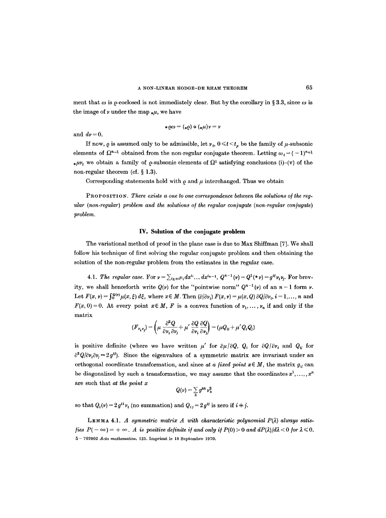ment that  $\omega$  is  $\rho$ -coclosed is not immediately clear. But by the corollary in § 3.3, since  $\omega$  is the image of  $\nu$  under the map  $_{\ast}\mu$ , we have

$$
*\varrho\omega=(*\varrho)\circ(*\mu)v=v
$$

and  $dv = 0$ .

If now,  $\rho$  is assumed only to be admissible, let  $\nu_t$ ,  $0 \le t \le t_\mu$  be the family of  $\mu$ -subsonic elements of  $\Omega^{n-1}$  obtained from the non-regular conjugate theorem. Letting  $\omega_t = (-1)^{n+1}$ \**uv<sub>t</sub>* we obtain a family of  $\rho$ -subsonic elements of  $\Omega^1$  satisfying conclusions (i)-(v) of the non-regular theorem (cf.  $\S$  1.3).

Corresponding statements hold with  $\rho$  and  $\mu$  interchanged. Thus we obtain

PROPOSITION. There exists a one to one correspondence between the solutions of the reg*ular (non-regular) problem and the solutions of the regular conjugate (non-regular conjugate) problem.* 

## **IV. Solution of the conjugate problem**

The variational method of proof in the plane case is due to Max Shiffman [7]. We shall follow his technique of first solving the regular conjugate problem and then obtaining the solution of the non-regular problem from the estimates in the regular case.

4.1. *The regular case.* For  $v = \sum_{i_k \neq i} v_i dx^{i_1} \dots dx^{i_{n-1}}$ ,  $Q^{n-1}(v) = Q^1(*v) = g^{ij}v_i v_j$ . For brevity, we shall henceforth write  $Q(\nu)$  for the "pointwise norm"  $Q^{n-1}(\nu)$  of an  $n-1$  form  $\nu$ . Let  $F(x, v) = \int_0^{Q(v)} \mu(x, \xi) d\xi$ , where  $x \in M$ . Then  $(\partial/\partial v_i) F(x, v) = \mu(x, Q) \partial Q/\partial v_i$ ,  $i = 1, ..., n$  and  $F(x, 0) = 0$ . At every point  $x \in M$ , F is a convex function of  $\nu_1, \ldots, \nu_n$  if and only if the matrix

$$
(F_{\nu_i\nu_j}) = \left(\mu \frac{\partial^2 Q}{\partial \nu_i \partial \nu_j} + \mu' \frac{\partial Q}{\partial \nu_i} \frac{\partial Q}{\partial \nu_j}\right) = (\mu Q_{ij} + \mu' Q_i Q_j)
$$

is positive definite (where we have written  $\mu'$  for  $\partial \mu/\partial Q$ ,  $Q_i$  for  $\partial Q/\partial v_i$  and  $Q_{ij}$  for  $\partial^2 Q/\partial v_i \partial v_j = 2g^{ij}$ . Since the eigenvalues of a symmetric matrix are invariant under an orthogonal coordinate transformation, and since *at a fixed point*  $x \in M$ , the matrix  $g_u$  can be diagonalized by such a transformation, we may assume that the coordinates  $x^1, \ldots, x^n$ are such that *at the point x* 

$$
Q(\nu)=\sum_k g^{kk}\,\nu_k^2
$$

so that  $Q_i(v) = 2 g^{ii} v_i$  (no summation) and  $Q_{ij} = 2 g^{ij}$  is zero if  $i \neq j$ .

LEMMA 4.1. *A symmetric matrix A with characteristic polynomial P(* $\lambda$ *) always satisfies*  $P(-\infty) = +\infty$ . A is positive definite if and only if  $P(0) > 0$  and  $dP(\lambda)/d\lambda < 0$  for  $\lambda \leq 0$ . 5-- 702902 *Acta nmthematica.* 125. Iraprim6 le 18 Septembre 1970.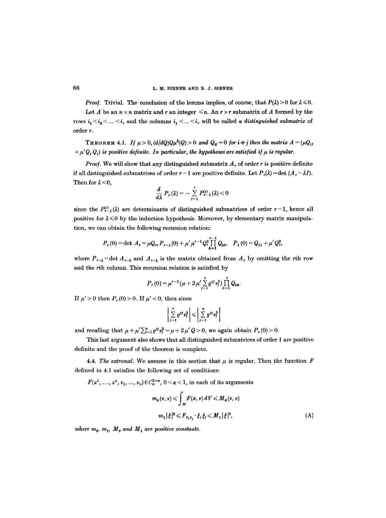*Proof.* Trivial. The conclusion of the lemma implies, of course, that  $P(\lambda) > 0$  for  $\lambda \le 0$ .

Let A be an  $n \times n$  matrix and r an integer  $\leq n$ . An  $r \times r$  submatrix of A formed by the rows  $i_1 < i_2 < ... < i_r$  and the columns  $i_1 < ... < i_r$  will be called a *distinguished submatrix* of order r.

THEOREM 4.1. *If*  $\mu > 0$ ,  $(d/dQ)Q\mu^2(Q) > 0$  and  $Q_{tt} = 0$  for  $i \pm j$  then the matrix  $A = (\mu Q_{tt})$  $+\mu' Q_i Q_j$  is positive definite. In particular, the hypotheses are satisfied if  $\mu$  is regular.

*Proof.* We will show that any distinguished submatrix  $A_r$  of order r is positive definite if all distinguished submatrices of order  $r-1$  are positive definite. Let  $P_r(\lambda) = \det (A_r - \lambda I)$ . Then for  $\lambda < 0$ ,

$$
\frac{d}{d\lambda} P_r(\lambda) = -\sum_{j=1}^r P_{r-1}^{(j)}(\lambda) < 0
$$

since the  $P_{r-1}^{(i)}(\lambda)$  are determinants of distinguished submatrices of order  $r-1$ , hence all positive for  $\lambda \leq 0$  by the induction hypothesis. Moreover, by elementary matrix manipulation, we can obtain the following recursion relation:

$$
P_r(0) = \det A_r = \mu Q_{rr} P_{r-1}(0) + \mu' \mu^{r-1} Q_r^2 \prod_{k=1}^{r-1} Q_{kk}, \quad P_1(0) = Q_{11} + \mu' Q_1^2,
$$

where  $P_{r-1}$  = det  $A_{r-1}$  and  $A_{r-1}$  is the matrix obtained from  $A_r$  by omitting the rth row and the rth column. This recursion relation is satisfied by

$$
P_r(0) = \mu^{r-1}(\mu + 2\mu' \sum_{j=1}^r g^{jj} v_j^2) \prod_{k=1}^r Q_{kk}.
$$

If  $\mu' > 0$  then  $P_r(0) > 0$ . If  $\mu' < 0$ , then since

$$
\left|\sum_{j=1}^r g^{jj} \nu_j^2\right| \leqslant \left|\sum_{j=1}^n g^{jj} \nu_j^2\right|
$$

and recalling that  $\mu + \mu' \sum_{j=1}^n g^{jj} r_j^2 = \mu + 2 \mu' Q > 0$ , we again obtain  $P_r (0) > 0$ .

This last argument also shows that all distinguished submatrices of order 1 are positive definite and the proof of the theorem is complete.

4.4. *The extremal.* We assume in this section that  $\mu$  is regular. Then the function  $\vec{F}$ defined in 4.1 satisfies the following set of conditions:

 $F(x^1, ..., x^n, \nu_1, ..., \nu_n) \in C^{2+\alpha}_{\alpha}, 0 < \alpha < 1$ , in each of its arguments

$$
m_0(v, v) \le \int_M F(x, v) dV \le M_0(v, v)
$$
  

$$
m_1 |\xi|^2 \le F_{v_i v_j} \cdot \xi_i \xi_j \le M_1 |\xi|^2,
$$
 (A)

where  $m_0$ ,  $m_1$ ,  $M_0$  and  $M_1$  are positive constants.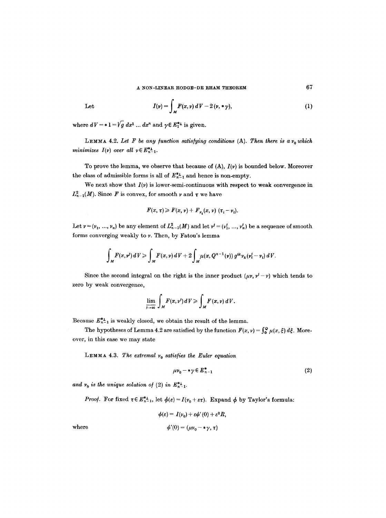Let 
$$
I(\nu) = \int_M F(x, \nu) dV - 2(\nu, \ast \gamma), \qquad (1)
$$

where  $dV = *1 = \sqrt{g} dx^1 ... dx^n$  and  $\gamma \in E_1^{*+1}$  is given.

LEMMA 4.2. Let F be any function satisfying conditions  $(A)$ . Then there is a  $v_0$  which *minimizes*  $I(v)$  over all  $v \in E_{n-1}^{*}$ .

To prove the lemma, we observe that because of (A), *I(v)* is bounded below. Moreover the class of admissible forms is all of  $E_{n-1}^{*1}$  and hence is non-empty.

We next show that  $I(\nu)$  is lower-semi-continuous with respect to weak convergence in  $L_{n-1}^2(M)$ . Since F is convex, for smooth v and  $\tau$  we have

$$
F(x, \tau) \geq F(x, \nu) + F_{\nu_i}(x, \nu) \; (\tau_i - \nu_i).
$$

Let  $v = (v_1, ..., v_n)$  be any element of  $L^2_{n-1}(M)$  and let  $v' = (v'_1, ..., v'_n)$  be a sequence of smooth forms converging weakly to v. Then, by Fatou's lemma

$$
\int_M F(x, v^j) dV \geq \int_M F(x, v) dV + 2 \int_M \mu(x, Q^{n-1}(v)) g^{ik} \nu_k(\nu_i^j - \nu_i) dV.
$$

Since the second integral on the right is the inner product  $(\mu v, v^j - v)$  which tends to zero by weak convergence,

$$
\lim_{\overline{\mu}\to\infty}\int_M F(x,\nu')\,dV\geqslant \int_M F(x,\nu)\,dV.
$$

Because  $E_{n-1}^{*1}$  is weakly closed, we obtain the result of the lemma.

The hypotheses of Lemma 4.2 are satisfied by the function  $F(x, v) = \int_0^Q \mu(x, \xi) d\xi$ . Moreover, in this case we may state

LEMMA 4.3. The extremal  $v_0$  satisfies the Euler equation

$$
\mu v_0 - \ast \gamma \in E_{n-1}^* \tag{2}
$$

and  $v_0$  is the unique solution of (2) in  $E_{n-1}^{*}$ .

*Proof.* For fixed  $\tau \in E_{n-1}^{*+}$ , let  $\phi(\varepsilon) = I(\nu_0 + \varepsilon \tau)$ . Expand  $\phi$  by Taylor's formula:

$$
\phi(\varepsilon) = I(\nu_0) + \varepsilon \phi'(0) + \varepsilon^2 R,
$$
  

$$
\phi'(0) = (\mu \nu_0 - \ast \gamma, \tau)
$$

where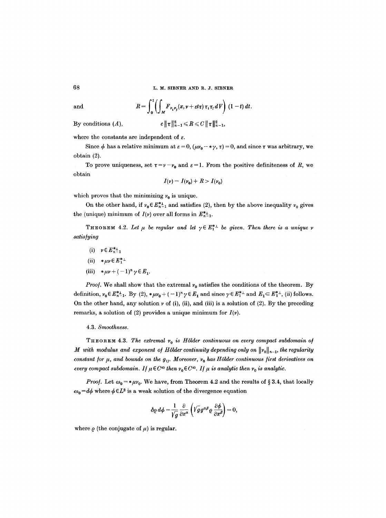68 L. M. SIBNER AND R. J. SIBNER

and 
$$
R = \int_0^1 \left( \int_M F_{\nu_i \nu_j}(x, \nu + \varepsilon t \tau) \tau_i \tau_j dV \right) (1-t) dt.
$$

By conditions (A),  $c ||\tau||_{n-1}^2 \le R \le C ||\tau||_{n-1}^2$ ,

where the constants are independent of  $\varepsilon$ .

Since  $\phi$  has a relative minimum at  $\varepsilon = 0$ ,  $(\mu v_0 - * \gamma, \tau) = 0$ , and since  $\tau$  was arbitrary, we obtain (2).

To prove uniqueness, set  $\tau = \nu - \nu_0$  and  $\varepsilon = 1$ . From the positive definiteness of R, we obtain

$$
I(\nu)=I(\nu_0)+R>I(\nu_0)
$$

which proves that the minimizing  $\nu_0$  is unique.

On the other hand, if  $v_0 \in E_{n-1}^{*1}$  and satisfies (2), then by the above inequality  $v_0$  gives the (unique) minimum of  $I(\nu)$  over all forms in  $E_{n-1}^{*}$ .

THEOREM 4.2. Let  $\mu$  be regular and let  $\gamma \in E_1^{*+}$  be given. Then there is a unique v *,atis/ying* 

- (i)  $v \in E_{n-1}^{*}$
- (ii)  $*\mu \nu \in E_1^{*+}$
- (iii)  $*\mu v + (-1)^n \gamma \in E_1$ .

*Proof.* We shall show that the extremal  $\nu_0$  satisfies the conditions of the theorem. By definition,  $v_0 \in E_{n-1}^{*}$ . By (2),  $*\mu v_0 + (-1)^n \gamma \in E_1$  and since  $\gamma \in E_1^{*+}$  and  $E_1 \subset E_1^{*+}$ , (ii) follows. On the other hand, any solution  $\nu$  of (i), (ii), and (iii) is a solution of (2). By the preceding remarks, a solution of (2) provides a unique minimum for  $I(\nu)$ .

## 4.3. *Smoothness.*

THEOREM 4.3. The extremal  $v_0$  is Hölder continuous on every compact subdomain of *M* with modulus and exponent of Hölder continuity depending only on  $||v_0||_{n-1}$ , the regularity *constant for*  $\mu$ *, and bounds on the*  $g_{ij}$ *. Moreover,*  $v_0$  *has Hölder continuous first derivatives on every compact subdomain. If*  $\mu \in C^{\infty}$  *then*  $\nu_0 \in C^{\infty}$ . *If*  $\mu$  *is analytic then*  $\nu_0$  *is analytic.* 

*Proof.* Let  $\omega_0 = * \mu v_0$ . We have, from Theorem 4.2 and the results of § 3.4, that locally  $\omega_0 = d\phi$  where  $\phi \in L^2$  is a weak solution of the divergence equation

$$
\delta \varrho \, d\phi = \frac{1}{\sqrt{g}} \frac{\partial}{\partial x^{\alpha}} \left( \sqrt{g} g^{\alpha \beta} \varrho \, \frac{\partial \phi}{\partial x^{\beta}} \right) = 0,
$$

where  $\rho$  (the conjugate of  $\mu$ ) is regular.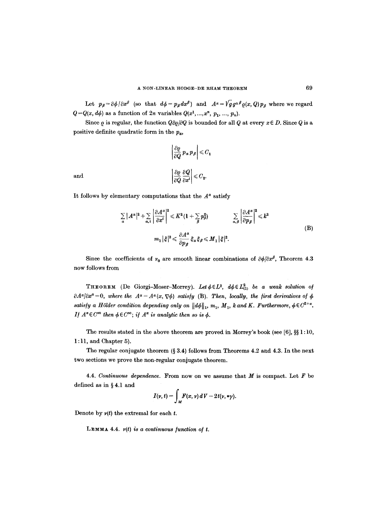Let  $p_\beta = \partial \phi / \partial x^\beta$  (so that  $d\phi = p_\beta dx^\beta$ ) and  $A^\alpha = \sqrt{g} g^{\alpha\beta} \varrho(x, Q) p_\beta$  where we regard  $Q = Q(x, d\phi)$  as a function of 2n variables  $Q(x^1, ..., x^n, p_1, ..., p_n)$ .

Since  $\rho$  is regular, the function  $Q\partial\rho/\partial Q$  is bounded for all  $Q$  at every  $x \in D$ . Since  $Q$  is a positive definite quadratic form in the  $p_a$ ,

$$
\left| \frac{\partial \varrho}{\partial Q} p_{\alpha} p_{\beta} \right| \leq C_1
$$
  

$$
\left| \frac{\partial \varrho}{\partial Q} \frac{\partial Q}{\partial x^i} \right| \leq C_2.
$$

and

It follows by elementary computations that the  $A^{\alpha}$  satisfy

$$
\sum_{a} |A^{\alpha}|^{2} + \sum_{a,i} \left| \frac{\partial A^{\alpha}}{\partial x^{i}} \right|^{2} \leq K^{2} (1 + \sum_{\beta} p_{\beta}^{2}) \qquad \sum_{a,\beta} \left| \frac{\partial A^{\alpha}}{\partial p_{\beta}} \right|^{2} \leq k^{2}
$$
\n
$$
m_{1} |\xi|^{2} \leq \frac{\partial A^{\alpha}}{\partial p_{\beta}} \xi_{\alpha} \xi_{\beta} \leq M_{1} |\xi|^{2}.
$$
\n(B)

Since the coefficients of  $v_0$  are smooth linear combinations of  $\partial \phi / \partial x^{\beta}$ , Theorem 4.3 now follows from

THEOREM (De Giorgi-Moser-Morrey). Let  $\phi \in L^2$ ,  $d\phi \in L^2_{(1)}$  be a weak solution of  $\partial A^{\alpha}/\partial x^{\alpha}=0$ , where the  $A^{\alpha}=A^{\alpha}(x,\nabla\phi)$  *satisfy* (B). Then, locally, the first derivatives of  $\phi$ *satisfy a Hölder condition depending only on*  $||d\phi||_1$ ,  $m_1$ ,  $M_1$ ,  $k$  and K. Furthermore,  $\phi \in C^{2+\alpha}$ . *If*  $A^{\alpha} \in C^{\infty}$  then  $\phi \in C^{\infty}$ ; if  $A^{\alpha}$  is analytic then so is  $\phi$ .

The results stated in the above theorem are proved in Morrey's book (see [6],  $\S\$  1:10, 1 : 11, and Chapter 5).

The regular conjugate theorem  $(\S 3.4)$  follows from Theorems 4.2 and 4.3. In the next two sections we prove the non-regular conjugate theorem.

4.4. *Continuous dependence.* From now on we assume that M is compact. Let F be defined as in  $§ 4.1$  and

$$
I(\nu, t) = \int_M F(x, \nu) dV - 2t(\nu, * \gamma).
$$

Denote by  $v(t)$  the extremal for each t.

LEMMA 4.4. *r(t) is a continuous function of t.*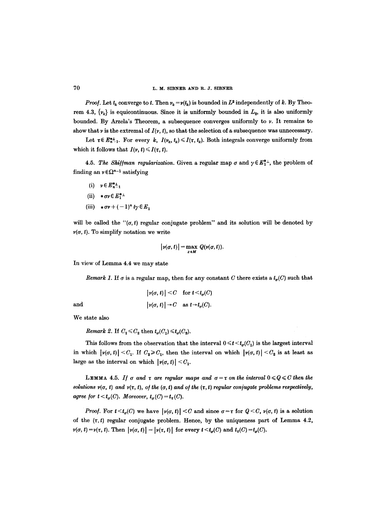*Proof.* Let  $t_k$  converge to t. Then  $v_k = v(t_k)$  is bounded in  $L^2$  independently of k. By Theorem 4.3,  $\{v_k\}$  is equicontinuous. Since it is uniformly bounded in  $L_2$ , it is also uniformly bounded. By Arzela's Theorem, a subsequence converges uniformly to  $\nu$ . It remains to show that  $\nu$  is the extremal of  $I(\nu, t)$ , so that the selection of a subsequence was unnecessary.

Let  $\tau \in E_{n-1}^{*+1}$ . For every k,  $I(\nu_k, t_k) \leq I(\tau, t_k)$ . Both integrals converge uniformly from which it follows that  $I(\nu, t) \leq I(\tau, t)$ .

4.5. *The Shiffman regularization*. Given a regular map  $\sigma$  and  $\gamma \in E_1^*$ , the problem of finding an  $\nu \in \Omega^{n-1}$  satisfying

- (i)  $v \in E_{n-1}^{*}$
- (ii)  $*\sigma\nu \in E_1^{*+}$
- (iii)  $*\sigma v + (-1)^n t\gamma \in E_1$

will be called the " $(\sigma, t)$  regular conjugate problem" and its solution will be denoted by  $v(\sigma, t)$ . To simplify notation we write

$$
|\nu(\sigma, t)| = \max_{x \in M} Q(\nu(\sigma, t)).
$$

In view of Lemma 4.4 we may state

*Remark 1.* If  $\sigma$  is a regular map, then for any constant C there exists a  $t_{\sigma}(C)$  such that

$$
|\nu(\sigma, t)| < C \quad \text{for } t < t_{\sigma}(C)
$$
\n
$$
|\nu(\sigma, t)| \to C \quad \text{as } t \to t_{\sigma}(C).
$$

We state also

and

*Remark 2.* If  $C_1 \leq C_2$  then  $t_{\sigma}(C_1) \leq t_{\sigma}(C_2)$ .

This follows from the observation that the interval  $0 \leq t \leq t_{\sigma}(C_1)$  is the largest interval in which  $|\nu(\sigma, t)| \leq C_1$ . If  $C_2 \geq C_1$ , then the interval on which  $|\nu(\sigma, t)| \leq C_2$  is at least as large as the interval on which  $|\nu(\sigma, t)| \leq C_1$ .

LEMMA 4.5. If  $\sigma$  and  $\tau$  are regular maps and  $\sigma = \tau$  on the interval  $0 \leq Q \leq C$  then the *solutions*  $\nu(\sigma, t)$  and  $\nu(\tau, t)$ , *of the*  $(\sigma, t)$  and *of the*  $(\tau, t)$  *regular conjugate problems respectively, agree for t* <  $t<sub>\sigma</sub>(C)$ . *Moreover,*  $t_{\sigma}(C)=t_{\tau}(C)$ .

*Proof.* For  $t \le t_{\sigma}(C)$  we have  $|\nu(\sigma, t)| \le C$  and since  $\sigma = \tau$  for  $Q \le C$ ,  $\nu(\sigma, t)$  is a solution of the  $(\tau, t)$  regular conjugate problem. Hence, by the uniqueness part of Lemma 4.2,  $\nu(\sigma, t) = \nu(\tau, t)$ . Then  $|\nu(\sigma, t)| = |\nu(\tau, t)|$  for every  $t \le t_{\sigma}(C)$  and  $t_{\tau}(C) = t_{\sigma}(C)$ .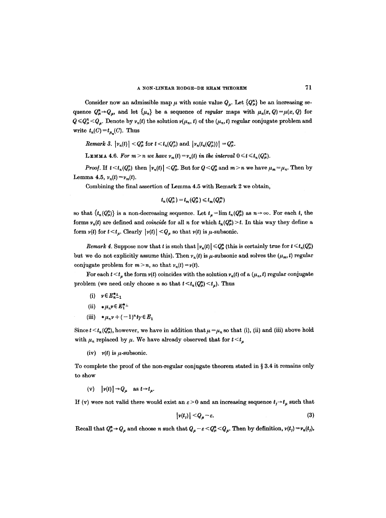Consider now an admissible map  $\mu$  with sonic value  $Q_{\mu}$ . Let  ${Q_{\mu}^n}$  be an increasing sequence  $Q_{\mu}^n \rightarrow Q_{\mu}$ , and let  $\{\mu_n\}$  be a sequence of *regular* maps with  $\mu_n(x, Q) = \mu(x, Q)$  for  $Q \leq Q_{\mu}^{n} < Q_{\mu}$ . Denote by  $\nu_{n}(t)$  the solution  $\nu(\mu_{n}, t)$  of the  $(\mu_{n}, t)$  regular conjugate problem and write  $t_n(C) = t_{\mu}(C)$ . Thus

*Remark 3.*  $|\nu_n(t)| < Q_u^n$  for  $t < t_n(Q_u^n)$  and  $|\nu_n(t_n(Q_u^n))| = Q_u^n$ .

LEMMA 4.6. For  $m > n$  we have  $v_m(t) = v_n(t)$  in the interval  $0 \le t \le t_n(Q_\mu^n)$ .

*Proof.* If  $t \le t_n(Q_\mu^n)$  then  $|\nu_n(t)| \le Q_\mu^n$ . But for  $Q \le Q_\mu^n$  and  $m > n$  we have  $\mu_m = \mu_n$ . Then by Lemma 4.5,  $v_n(t) = v_m(t)$ .

Combining the final assertion of Lemma 4.5 with Remark 2 we obtain,

 $t_n(Q_\mu^n) = t_m(Q_\mu^n) \leq t_m(Q_\mu^m)$ 

so that  $\{t_n(Q_\mu^n)\}$  is a non-decreasing sequence. Let  $t_{\mu}=\lim t_n(Q_\mu^n)$  as  $n\to\infty$ . For each t, the forms  $v_n(t)$  are defined and *coincide* for all n for which  $t_n(Q_n^n) > t$ . In this way they define a form  $\nu(t)$  for  $t \le t_\mu$ . Clearly  $|\nu(t)| \le Q_\mu$  so that  $\nu(t)$  is  $\mu$ -subsonic.

*Remark 4.* Suppose now that t is such that  $|\nu_n(t)| \leq Q_n^n$  (this is certainly true for  $t \leq t_n(Q_\mu^n)$ ) but we do not explicitly assume this). Then  $v_n(t)$  is  $\mu$ -subsonic and solves the  $(\mu_m, t)$  regular conjugate problem for  $m > n$ , so that  $v_n(t) = v(t)$ .

For each  $t \le t_u$  the form  $v(t)$  coincides with the solution  $v_n(t)$  of a  $(\mu_n, t)$  regular conjugate problem (we need only choose *n* so that  $t < t_n(Q_\mu^n) < t_\mu$ ). Thus

- (i)  $v \in E_{n-1}^{*}$
- (ii)  $\star \mu_n v \in E_1^{*+}$
- (iii)  $* \mu_n v + (-1)^n t y \in E_1$

Since  $t \le t_n(Q_\mu^n)$ , however, we have in addition that  $\mu = \mu_n$  so that (i), (ii) and (iii) above hold with  $\mu_n$  replaced by  $\mu$ . We have already observed that for  $t \le t_{\mu}$ 

(iv)  $v(t)$  is  $\mu$ -subsonic.

To complete the proof of the non-regular conjugate theorem stated in  $\S 3.4$  it remains only to show

(v)  $|\nu(t)| \rightarrow Q_\mu$  as  $t \rightarrow t_\mu$ .

If (v) were not valid there would exist an  $\varepsilon > 0$  and an increasing sequence  $t_j \rightarrow t_\mu$  such that

$$
|\nu(t_j)| \leq Q_{\mu} - \varepsilon. \tag{3}
$$

Recall that  $Q_{\mu}^n \rightarrow Q_{\mu}$  and choose n such that  $Q_{\mu} - \varepsilon \leq Q_{\mu}^n \leq Q_{\mu}$ . Then by definition,  $\nu(t_j) = \nu_n(t_j)$ ,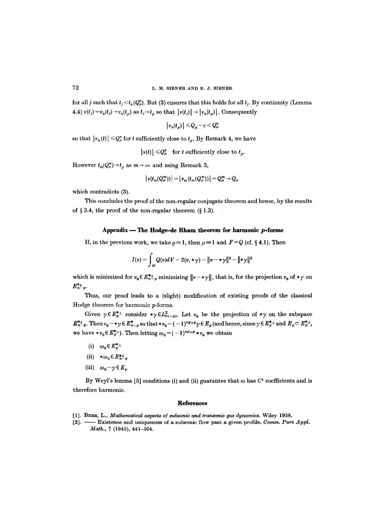for all j such that  $t_i < t_n(Q_\mu^n)$ . But (3) ensures that this holds for all  $t_i$ . By continuity (Lemma 4.4)  $v(t_j) = v_n(t_j) \rightarrow v_n(t_j)$  as  $t_j \rightarrow t_{\mu}$  so that  $|v(t_j)| \rightarrow |v_n(t_{\mu})|$ . Consequently

$$
|\nu_n(t_\mu)| \leqslant Q_\mu - \varepsilon < Q_\mu^n
$$

so that  $|v_n(t)| \leq Q_{\mu}^n$  for t sufficiently close to  $t_{\mu}$ . By Remark 4, we have

 $|\nu(t)| \leq Q_\mu^n$  for t sufficiently close to  $t_\mu$ .

However  $t_m(Q^m_\mu) \to t_\mu$  as  $m \to \infty$  and using Remark 3,

$$
|\nu(t_m(Q^m_\mu))|=|\nu_m(t_m(Q^m_\mu))|=Q^m_\mu\rightarrow Q_\mu
$$

which contradicts (3).

This concludes the proof of the non-regular conjugate theorem and hence, by the results of  $\S 3.4$ , the proof of the non-regular theorem  $(\S 1.3)$ .

# Appendix  $-$  The Hodge-de Rham theorem for harmonic  $p$ -forms

If, in the previous work, we take  $\rho = 1$ , then  $\mu = 1$  and  $F = Q$  (cf. § 4.1). Then

$$
I(\nu) = \int_M Q(\nu) dV - 2(\nu, \ast \gamma) = ||\nu - \ast \gamma||^2 - ||\ast \gamma||^2
$$

which is minimized for  $v_0 \in E_{n-p}^{*+}$  minimizing  $||v - * \gamma||$ , that is, for the projection  $v_0$  of  $*\gamma$  on  $E_{n-p}^{*1}$ .

Thus, our proof leads to a (slight) modification of existing proofs of the classical Hedge theorem for harmonic p-forms.

Given  $\gamma \in E_p^{*+}$  consider  $*\gamma \in L^2_{(n-p)}$ . Let  $\nu_0$  be the projection of  $*\gamma$  on the subspace  $E^{*+}_{n-p}$ . Then  $v_0 - \ast \gamma \in E^{*}_{n-p}$  so that  $\ast v_0 - (-1)^{np+p} \gamma \in E_p$  (and hence, since  $\gamma \in E^{*+}_p$  and  $E_p \subset E^{*+}_p$ , we have  $*\gamma_0 \in E_p^{*+1}$ . Then letting  $\omega_0 = (-1)^{np+p} * \gamma_0$  we obtain

- (i)  $\omega_0 \in E_p^{*+}$
- (ii)  $*\omega_0 \in E_{n-p}^{*\perp}$
- (iii)  $\omega_0 \gamma \in E_n$

By Weyl's lemma [5] conditions (i) and (ii) guarantee that  $\omega$  has  $C^1$  coefficients and is therefore harmonic.

#### **References**

- [1]. BERS, L., *Mathematical aspects of subsonic and transonic gas dynamics.* Wiley 1958.
- [2]. Existence and uniqueness of a subsonic flow past a given profile. *Gomm. Pure Appl. Math.,* 7 (1945), 441-504.